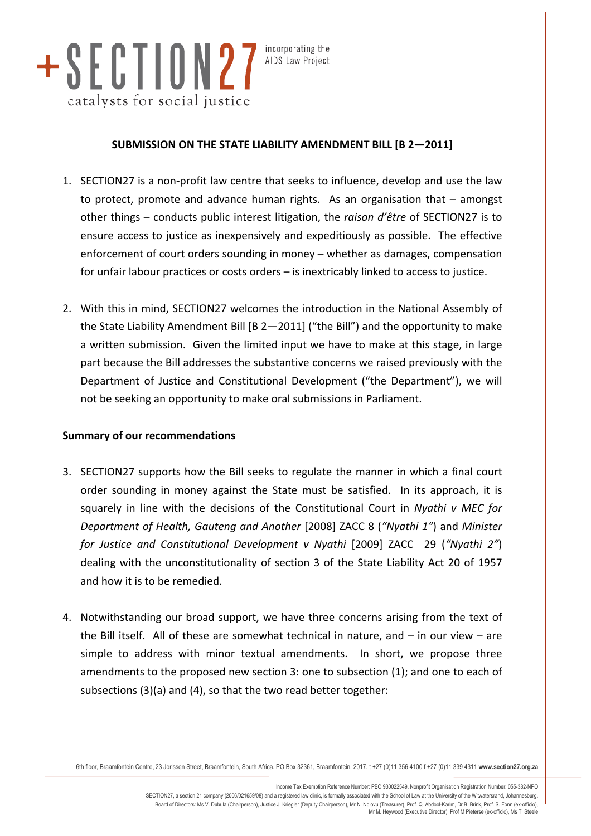

incorporating the AIDS Law Project

### SUBMISSION ON THE STATE LIABILITY AMENDMENT BILL [B 2-2011]

- 1. SECTION27 is a non-profit law centre that seeks to influence, develop and use the law to protect, promote and advance human rights. As an organisation that  $-$  amongst other things – conducts public interest litigation, the *raison d'être* of SECTION27 is to ensure access to justice as inexpensively and expeditiously as possible. The effective enforcement of court orders sounding in money – whether as damages, compensation for unfair labour practices or costs orders  $-$  is inextricably linked to access to justice.
- 2. With this in mind, SECTION27 welcomes the introduction in the National Assembly of the State Liability Amendment Bill [B 2—2011] ("the Bill") and the opportunity to make a written submission. Given the limited input we have to make at this stage, in large part because the Bill addresses the substantive concerns we raised previously with the Department of Justice and Constitutional Development ("the Department"), we will not be seeking an opportunity to make oral submissions in Parliament.

#### **Summary of our recommendations**

- 3. SECTION27 supports how the Bill seeks to regulate the manner in which a final court order sounding in money against the State must be satisfied. In its approach, it is squarely in line with the decisions of the Constitutional Court in *Nyathi v MEC for Department of Health, Gauteng and Another* [2008] ZACC 8 ("Nyathi 1") and *Minister for Justice and Constitutional Development v Nyathi* [2009] ZACC 29 ("Nyathi 2") dealing with the unconstitutionality of section 3 of the State Liability Act 20 of 1957 and how it is to be remedied.
- 4. Notwithstanding our broad support, we have three concerns arising from the text of the Bill itself. All of these are somewhat technical in nature, and  $-$  in our view  $-$  are simple to address with minor textual amendments. In short, we propose three amendments to the proposed new section 3: one to subsection (1); and one to each of subsections  $(3)(a)$  and  $(4)$ , so that the two read better together:

6th floor, Braamfontein Centre, 23 Jorissen Street, Braamfontein, South Africa. PO Box 32361, Braamfontein, 2017. t +27 (0)11 356 4100 f +27 (0)11 339 4311 **www.section27.org.za**

Income Tax Exemption Reference Number: PBO 930022549. Nonprofit Organisation Registration Number: 055-382-NPO SECTION27, a section 21 company (2006/021659/08) and a registered law clinic, is formally associated with the School of Law at the University of the Witwatersrand, Johannesburg. Board of Directors: Ms V. Dubula (Chairperson), Justice J. Kriegler (Deputy Chairperson), Mr N. Ndlovu (Treasurer), Prof. Q. Abdool-Karim, Dr B. Brink, Prof. S. Fonn (ex-officio),<br>Mr M. Heywood (Executive Director), Prof M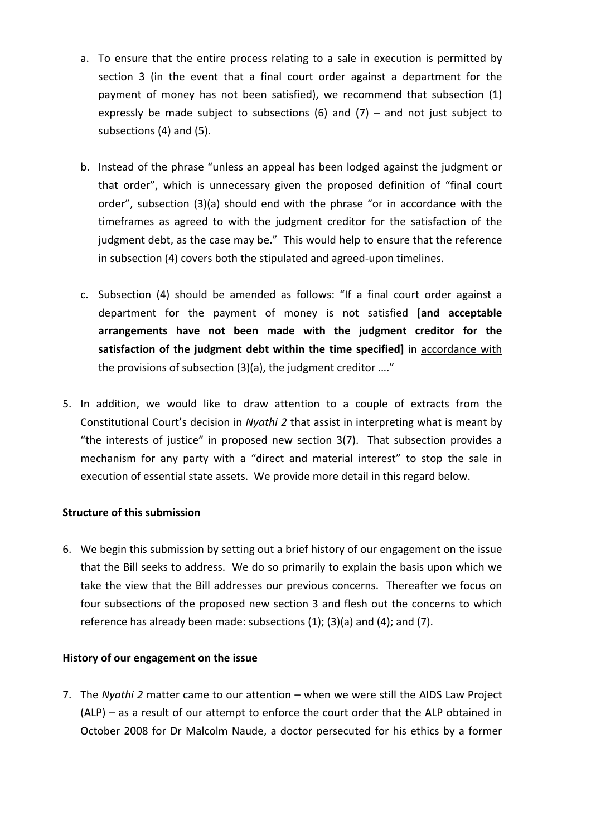- a. To ensure that the entire process relating to a sale in execution is permitted by section 3 (in the event that a final court order against a department for the payment of money has not been satisfied), we recommend that subsection (1) expressly be made subject to subsections (6) and (7) – and not just subject to subsections (4) and (5).
- b. Instead of the phrase "unless an appeal has been lodged against the judgment or that order", which is unnecessary given the proposed definition of "final court order", subsection  $(3)(a)$  should end with the phrase "or in accordance with the timeframes as agreed to with the judgment creditor for the satisfaction of the judgment debt, as the case may be." This would help to ensure that the reference in subsection (4) covers both the stipulated and agreed-upon timelines.
- c. Subsection (4) should be amended as follows: "If a final court order against a department for the payment of money is not satisfied **[and acceptable** arrangements have not been made with the judgment creditor for the satisfaction of the judgment debt within the time specified] in accordance with the provisions of subsection  $(3)(a)$ , the judgment creditor ...."
- 5. In addition, we would like to draw attention to a couple of extracts from the Constitutional Court's decision in *Nyathi 2* that assist in interpreting what is meant by "the interests of justice" in proposed new section 3(7). That subsection provides a mechanism for any party with a "direct and material interest" to stop the sale in execution of essential state assets. We provide more detail in this regard below.

#### **Structure of this submission**

6. We begin this submission by setting out a brief history of our engagement on the issue that the Bill seeks to address. We do so primarily to explain the basis upon which we take the view that the Bill addresses our previous concerns. Thereafter we focus on four subsections of the proposed new section 3 and flesh out the concerns to which reference has already been made: subsections  $(1)$ ;  $(3)(a)$  and  $(4)$ ; and  $(7)$ .

### **History of our engagement on the issue**

7. The *Nyathi 2* matter came to our attention – when we were still the AIDS Law Project  $(ALP)$  – as a result of our attempt to enforce the court order that the ALP obtained in October 2008 for Dr Malcolm Naude, a doctor persecuted for his ethics by a former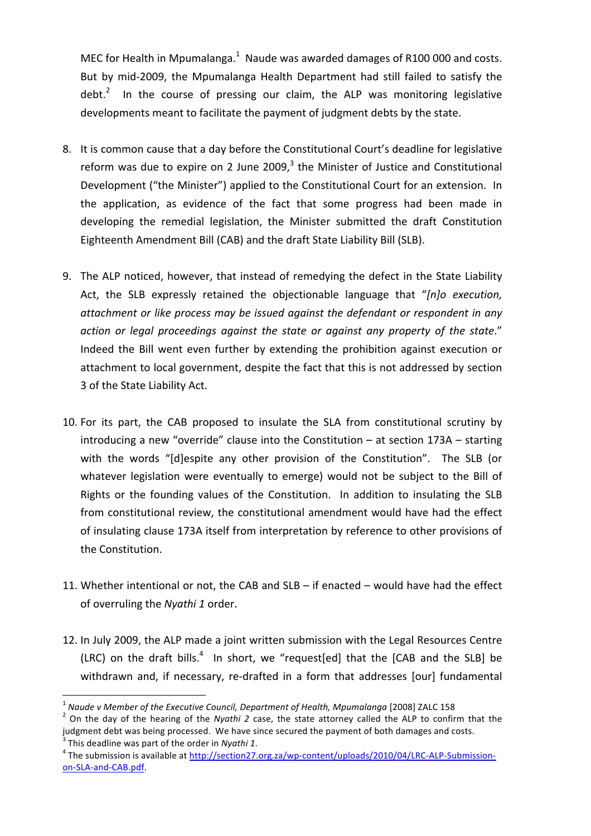MEC for Health in Mpumalanga. $^1$  Naude was awarded damages of R100 000 and costs. But by mid-2009, the Mpumalanga Health Department had still failed to satisfy the debt.<sup>2</sup> In the course of pressing our claim, the ALP was monitoring legislative developments meant to facilitate the payment of judgment debts by the state.

- 8. It is common cause that a day before the Constitutional Court's deadline for legislative reform was due to expire on 2 June 2009, $3$  the Minister of Justice and Constitutional Development ("the Minister") applied to the Constitutional Court for an extension. In the application, as evidence of the fact that some progress had been made in developing the remedial legislation, the Minister submitted the draft Constitution Eighteenth Amendment Bill (CAB) and the draft State Liability Bill (SLB).
- 9. The ALP noticed, however, that instead of remedying the defect in the State Liability Act, the SLB expressly retained the objectionable language that "*[n]o execution*, *attachment'or'like'process'may'be'issued'against'the'defendant'or'respondent'in'any'* action or legal proceedings against the state or against any property of the state." Indeed the Bill went even further by extending the prohibition against execution or attachment to local government, despite the fact that this is not addressed by section 3 of the State Liability Act.
- 10. For its part, the CAB proposed to insulate the SLA from constitutional scrutiny by introducing a new "override" clause into the Constitution – at section  $173A$  – starting with the words "[d]espite any other provision of the Constitution". The SLB (or whatever legislation were eventually to emerge) would not be subject to the Bill of Rights or the founding values of the Constitution. In addition to insulating the SLB from constitutional review, the constitutional amendment would have had the effect of insulating clause 173A itself from interpretation by reference to other provisions of the Constitution.
- 11. Whether intentional or not, the CAB and  $SLB -$  if enacted would have had the effect of overruling the *Nyathi 1* order.
- 12. In July 2009, the ALP made a joint written submission with the Legal Resources Centre (LRC) on the draft bills.<sup>4</sup> In short, we "request[ed] that the [CAB and the SLB] be withdrawn and, if necessary, re-drafted in a form that addresses [our] fundamental

3

<sup>&</sup>lt;sup>1</sup> Naude v Member of the Executive Council, Department of Health, Mpumalanga [2008] ZALC 158

<sup>2</sup> On the day of the hearing of the *Nyathi* 2 case, the state attorney called the ALP to confirm that the judgment debt was being processed. We have since secured the payment of both damages and costs.

<sup>&</sup>lt;sup>3</sup> This deadline was part of the order in *Nyathi 1*. <br><sup>4</sup> The submission is available at http://section27.org.za<u>/wp-content/uploads/2010/04/LRC-ALP-Submission-</u> on-SLA-and-CAB.pdf.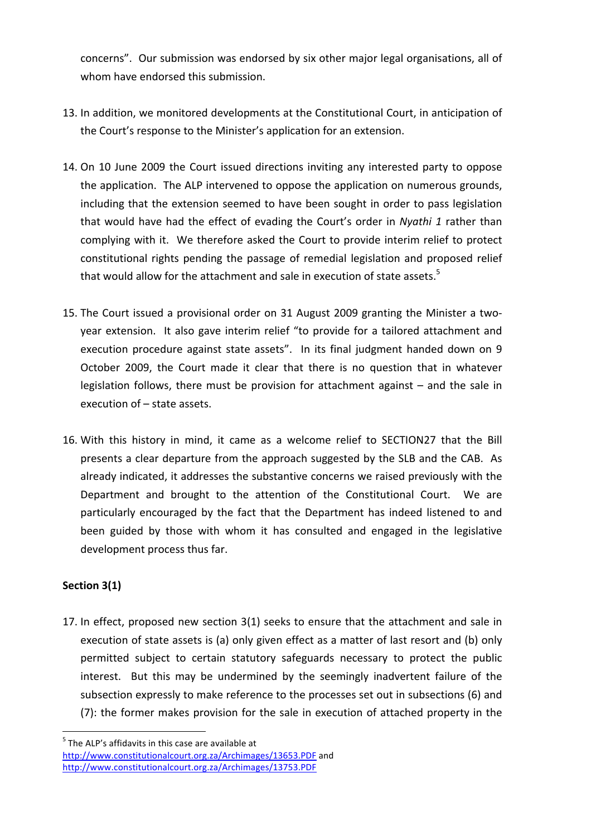concerns". Our submission was endorsed by six other major legal organisations, all of whom have endorsed this submission.

- 13. In addition, we monitored developments at the Constitutional Court, in anticipation of the Court's response to the Minister's application for an extension.
- 14. On 10 June 2009 the Court issued directions inviting any interested party to oppose the application. The ALP intervened to oppose the application on numerous grounds, including that the extension seemed to have been sought in order to pass legislation that would have had the effect of evading the Court's order in *Nyathi 1* rather than complying with it. We therefore asked the Court to provide interim relief to protect constitutional rights pending the passage of remedial legislation and proposed relief that would allow for the attachment and sale in execution of state assets. $5$
- 15. The Court issued a provisional order on 31 August 2009 granting the Minister a twoyear extension. It also gave interim relief "to provide for a tailored attachment and execution procedure against state assets". In its final judgment handed down on 9 October 2009, the Court made it clear that there is no question that in whatever legislation follows, there must be provision for attachment against  $-$  and the sale in execution of  $-$  state assets.
- 16. With this history in mind, it came as a welcome relief to SECTION27 that the Bill presents a clear departure from the approach suggested by the SLB and the CAB. As already indicated, it addresses the substantive concerns we raised previously with the Department and brought to the attention of the Constitutional Court. We are particularly encouraged by the fact that the Department has indeed listened to and been guided by those with whom it has consulted and engaged in the legislative development process thus far.

### **Section 3(1)**

17. In effect, proposed new section 3(1) seeks to ensure that the attachment and sale in execution of state assets is (a) only given effect as a matter of last resort and (b) only permitted subject to certain statutory safeguards necessary to protect the public interest. But this may be undermined by the seemingly inadvertent failure of the subsection expressly to make reference to the processes set out in subsections (6) and  $(7)$ : the former makes provision for the sale in execution of attached property in the

 $<sup>5</sup>$  The ALP's affidavits in this case are available at</sup> http://www.constitutionalcourt.org.za/Archimages/13653.PDF and http://www.constitutionalcourt.org.za/Archimages/13753.PDF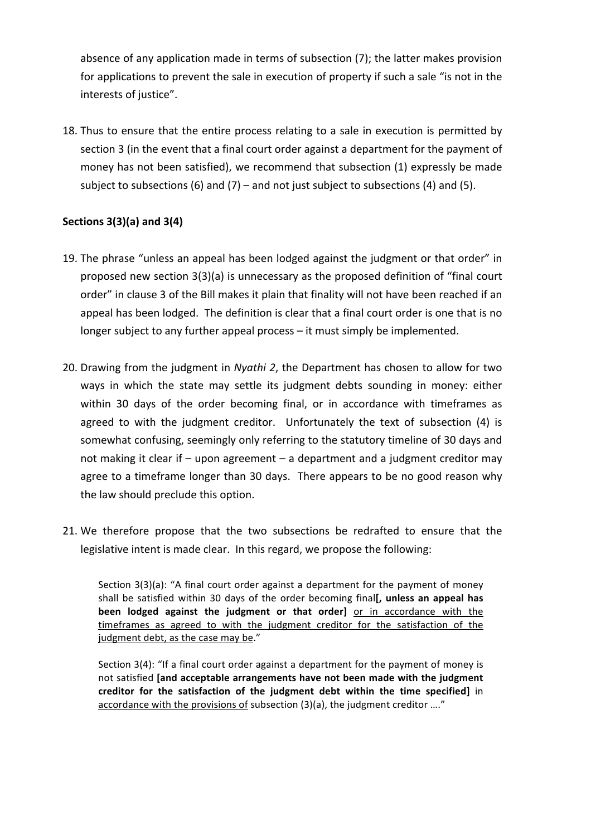absence of any application made in terms of subsection (7); the latter makes provision for applications to prevent the sale in execution of property if such a sale "is not in the interests of justice".

18. Thus to ensure that the entire process relating to a sale in execution is permitted by section 3 (in the event that a final court order against a department for the payment of money has not been satisfied), we recommend that subsection (1) expressly be made subject to subsections (6) and (7) – and not just subject to subsections (4) and (5).

# **Sections 3(3)(a) and 3(4)**

- 19. The phrase "unless an appeal has been lodged against the judgment or that order" in proposed new section  $3(3)(a)$  is unnecessary as the proposed definition of "final court order" in clause 3 of the Bill makes it plain that finality will not have been reached if an appeal has been lodged. The definition is clear that a final court order is one that is no longer subject to any further appeal process – it must simply be implemented.
- 20. Drawing from the judgment in *Nyathi 2*, the Department has chosen to allow for two ways in which the state may settle its judgment debts sounding in money: either within 30 days of the order becoming final, or in accordance with timeframes as agreed to with the judgment creditor. Unfortunately the text of subsection (4) is somewhat confusing, seemingly only referring to the statutory timeline of 30 days and not making it clear if – upon agreement – a department and a judgment creditor may agree to a timeframe longer than 30 days. There appears to be no good reason why the law should preclude this option.
- 21. We therefore propose that the two subsections be redrafted to ensure that the legislative intent is made clear. In this regard, we propose the following:

Section  $3(3)(a)$ : "A final court order against a department for the payment of money shall be satisfied within 30 days of the order becoming final<sup>[</sup>, unless an appeal has been lodged against the judgment or that order] or in accordance with the timeframes as agreed to with the judgment creditor for the satisfaction of the judgment debt, as the case may be."

Section  $3(4)$ : "If a final court order against a department for the payment of money is not satisfied [and acceptable arrangements have not been made with the judgment creditor for the satisfaction of the judgment debt within the time specified] in accordance with the provisions of subsection  $(3)(a)$ , the judgment creditor …."